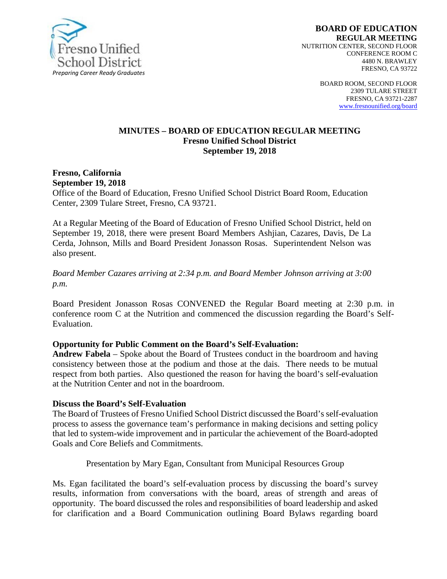

BOARD ROOM, SECOND FLOOR 2309 TULARE STREET FRESNO, CA 93721-2287 [www.fresnounified.org/board](http://www.fresnounified.org/board)

#### **MINUTES – BOARD OF EDUCATION REGULAR MEETING Fresno Unified School District September 19, 2018**

#### **Fresno, California September 19, 2018**

Office of the Board of Education, Fresno Unified School District Board Room, Education Center, 2309 Tulare Street, Fresno, CA 93721.

At a Regular Meeting of the Board of Education of Fresno Unified School District, held on September 19, 2018, there were present Board Members Ashjian, Cazares, Davis, De La Cerda, Johnson, Mills and Board President Jonasson Rosas. Superintendent Nelson was also present.

#### *Board Member Cazares arriving at 2:34 p.m. and Board Member Johnson arriving at 3:00 p.m.*

Board President Jonasson Rosas CONVENED the Regular Board meeting at 2:30 p.m. in conference room C at the Nutrition and commenced the discussion regarding the Board's Self-Evaluation.

#### **Opportunity for Public Comment on the Board's Self-Evaluation:**

**Andrew Fabela** – Spoke about the Board of Trustees conduct in the boardroom and having consistency between those at the podium and those at the dais. There needs to be mutual respect from both parties. Also questioned the reason for having the board's self-evaluation at the Nutrition Center and not in the boardroom.

#### **Discuss the Board's Self-Evaluation**

The Board of Trustees of Fresno Unified School District discussed the Board's self-evaluation process to assess the governance team's performance in making decisions and setting policy that led to system-wide improvement and in particular the achievement of the Board-adopted Goals and Core Beliefs and Commitments.

#### Presentation by Mary Egan, Consultant from Municipal Resources Group

Ms. Egan facilitated the board's self-evaluation process by discussing the board's survey results, information from conversations with the board, areas of strength and areas of opportunity. The board discussed the roles and responsibilities of board leadership and asked for clarification and a Board Communication outlining Board Bylaws regarding board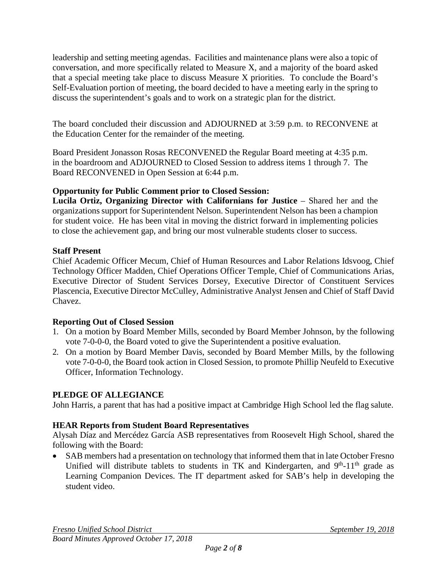leadership and setting meeting agendas. Facilities and maintenance plans were also a topic of conversation, and more specifically related to Measure X, and a majority of the board asked that a special meeting take place to discuss Measure X priorities. To conclude the Board's Self-Evaluation portion of meeting, the board decided to have a meeting early in the spring to discuss the superintendent's goals and to work on a strategic plan for the district.

The board concluded their discussion and ADJOURNED at 3:59 p.m. to RECONVENE at the Education Center for the remainder of the meeting.

Board President Jonasson Rosas RECONVENED the Regular Board meeting at 4:35 p.m. in the boardroom and ADJOURNED to Closed Session to address items 1 through 7. The Board RECONVENED in Open Session at 6:44 p.m.

## **Opportunity for Public Comment prior to Closed Session:**

**Lucila Ortiz, Organizing Director with Californians for Justice** – Shared her and the organizations support for Superintendent Nelson. Superintendent Nelson has been a champion for student voice. He has been vital in moving the district forward in implementing policies to close the achievement gap, and bring our most vulnerable students closer to success.

## **Staff Present**

Chief Academic Officer Mecum, Chief of Human Resources and Labor Relations Idsvoog, Chief Technology Officer Madden, Chief Operations Officer Temple*,* Chief of Communications Arias, Executive Director of Student Services Dorsey, Executive Director of Constituent Services Plascencia, Executive Director McCulley, Administrative Analyst Jensen and Chief of Staff David Chavez.

## **Reporting Out of Closed Session**

- 1. On a motion by Board Member Mills, seconded by Board Member Johnson, by the following vote 7-0-0-0, the Board voted to give the Superintendent a positive evaluation.
- 2. On a motion by Board Member Davis, seconded by Board Member Mills, by the following vote 7-0-0-0, the Board took action in Closed Session, to promote Phillip Neufeld to Executive Officer, Information Technology.

## **PLEDGE OF ALLEGIANCE**

John Harris, a parent that has had a positive impact at Cambridge High School led the flag salute.

# **HEAR Reports from Student Board Representatives**

Alysah Díaz and Mercédez García ASB representatives from Roosevelt High School, shared the following with the Board:

• SAB members had a presentation on technology that informed them that in late October Fresno Unified will distribute tablets to students in TK and Kindergarten, and  $9<sup>th</sup>-11<sup>th</sup>$  grade as Learning Companion Devices. The IT department asked for SAB's help in developing the student video.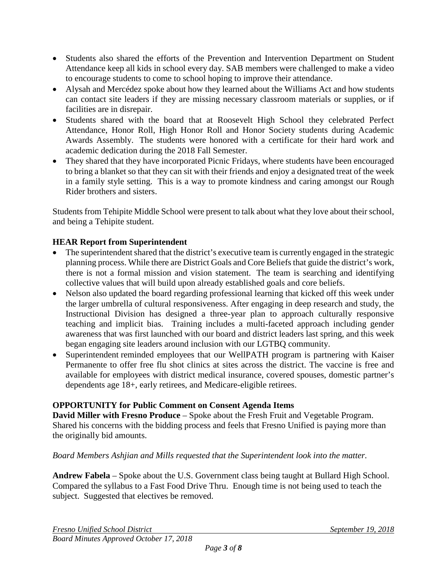- Students also shared the efforts of the Prevention and Intervention Department on Student Attendance keep all kids in school every day. SAB members were challenged to make a video to encourage students to come to school hoping to improve their attendance.
- Alysah and Mercédez spoke about how they learned about the Williams Act and how students can contact site leaders if they are missing necessary classroom materials or supplies, or if facilities are in disrepair.
- Students shared with the board that at Roosevelt High School they celebrated Perfect Attendance, Honor Roll, High Honor Roll and Honor Society students during Academic Awards Assembly. The students were honored with a certificate for their hard work and academic dedication during the 2018 Fall Semester.
- They shared that they have incorporated Picnic Fridays, where students have been encouraged to bring a blanket so that they can sit with their friends and enjoy a designated treat of the week in a family style setting. This is a way to promote kindness and caring amongst our Rough Rider brothers and sisters.

Students from Tehipite Middle School were present to talk about what they love about their school, and being a Tehipite student.

# **HEAR Report from Superintendent**

- The superintendent shared that the district's executive team is currently engaged in the strategic planning process. While there are District Goals and Core Beliefs that guide the district's work, there is not a formal mission and vision statement. The team is searching and identifying collective values that will build upon already established goals and core beliefs.
- Nelson also updated the board regarding professional learning that kicked off this week under the larger umbrella of cultural responsiveness. After engaging in deep research and study, the Instructional Division has designed a three-year plan to approach culturally responsive teaching and implicit bias. Training includes a multi-faceted approach including gender awareness that was first launched with our board and district leaders last spring, and this week began engaging site leaders around inclusion with our LGTBQ community.
- Superintendent reminded employees that our WellPATH program is partnering with Kaiser Permanente to offer free flu shot clinics at sites across the district. The vaccine is free and available for employees with district medical insurance, covered spouses, domestic partner's dependents age 18+, early retirees, and Medicare-eligible retirees.

## **OPPORTUNITY for Public Comment on Consent Agenda Items**

**David Miller with Fresno Produce** – Spoke about the Fresh Fruit and Vegetable Program. Shared his concerns with the bidding process and feels that Fresno Unified is paying more than the originally bid amounts.

## *Board Members Ashjian and Mills requested that the Superintendent look into the matter.*

**Andrew Fabela** – Spoke about the U.S. Government class being taught at Bullard High School. Compared the syllabus to a Fast Food Drive Thru. Enough time is not being used to teach the subject. Suggested that electives be removed.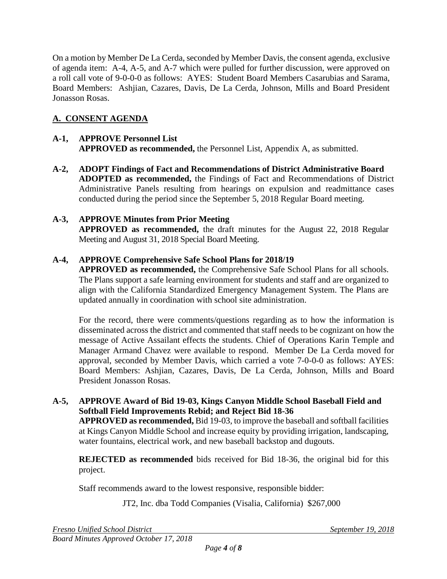On a motion by Member De La Cerda, seconded by Member Davis, the consent agenda, exclusive of agenda item: A-4, A-5, and A-7 which were pulled for further discussion, were approved on a roll call vote of 9-0-0-0 as follows: AYES: Student Board Members Casarubias and Sarama, Board Members: Ashjian, Cazares, Davis, De La Cerda, Johnson, Mills and Board President Jonasson Rosas.

# **A. CONSENT AGENDA**

## **A-1, APPROVE Personnel List APPROVED as recommended,** the Personnel List, Appendix A, as submitted.

**A-2, ADOPT Findings of Fact and Recommendations of District Administrative Board ADOPTED as recommended,** the Findings of Fact and Recommendations of District Administrative Panels resulting from hearings on expulsion and readmittance cases conducted during the period since the September 5, 2018 Regular Board meeting.

# **A-3, APPROVE Minutes from Prior Meeting**

**APPROVED as recommended,** the draft minutes for the August 22, 2018 Regular Meeting and August 31, 2018 Special Board Meeting.

## **A-4, APPROVE Comprehensive Safe School Plans for 2018/19**

**APPROVED as recommended,** the Comprehensive Safe School Plans for all schools. The Plans support a safe learning environment for students and staff and are organized to align with the California Standardized Emergency Management System. The Plans are updated annually in coordination with school site administration.

For the record, there were comments/questions regarding as to how the information is disseminated across the district and commented that staff needs to be cognizant on how the message of Active Assailant effects the students. Chief of Operations Karin Temple and Manager Armand Chavez were available to respond. Member De La Cerda moved for approval, seconded by Member Davis, which carried a vote 7-0-0-0 as follows: AYES: Board Members: Ashjian, Cazares, Davis, De La Cerda, Johnson, Mills and Board President Jonasson Rosas.

#### **A-5, APPROVE Award of Bid 19-03, Kings Canyon Middle School Baseball Field and Softball Field Improvements Rebid; and Reject Bid 18-36**

**APPROVED as recommended,** Bid 19-03, to improve the baseball and softball facilities at Kings Canyon Middle School and increase equity by providing irrigation, landscaping, water fountains, electrical work, and new baseball backstop and dugouts.

**REJECTED as recommended** bids received for Bid 18-36, the original bid for this project.

Staff recommends award to the lowest responsive, responsible bidder:

JT2, Inc. dba Todd Companies (Visalia, California) \$267,000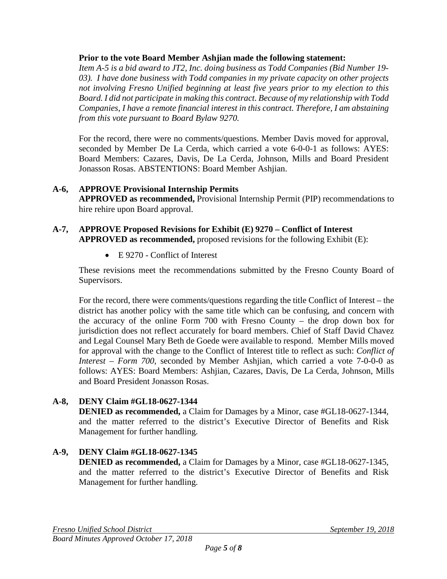#### **Prior to the vote Board Member Ashjian made the following statement:**

*Item A-5 is a bid award to JT2, Inc. doing business as Todd Companies (Bid Number 19- 03). I have done business with Todd companies in my private capacity on other projects not involving Fresno Unified beginning at least five years prior to my election to this Board. I did not participate in making this contract. Because of my relationship with Todd Companies, I have a remote financial interest in this contract. Therefore, I am abstaining from this vote pursuant to Board Bylaw 9270.*

For the record, there were no comments/questions. Member Davis moved for approval, seconded by Member De La Cerda, which carried a vote 6-0-0-1 as follows: AYES: Board Members: Cazares, Davis, De La Cerda, Johnson, Mills and Board President Jonasson Rosas. ABSTENTIONS: Board Member Ashjian.

#### **A-6, APPROVE Provisional Internship Permits**

**APPROVED as recommended,** Provisional Internship Permit (PIP) recommendations to hire rehire upon Board approval.

#### **A-7, APPROVE Proposed Revisions for Exhibit (E) 9270 – Conflict of Interest APPROVED as recommended,** proposed revisions for the following Exhibit (E):

• E 9270 - Conflict of Interest

These revisions meet the recommendations submitted by the Fresno County Board of Supervisors.

For the record, there were comments/questions regarding the title Conflict of Interest – the district has another policy with the same title which can be confusing, and concern with the accuracy of the online Form 700 with Fresno County – the drop down box for jurisdiction does not reflect accurately for board members. Chief of Staff David Chavez and Legal Counsel Mary Beth de Goede were available to respond. Member Mills moved for approval with the change to the Conflict of Interest title to reflect as such: *Conflict of Interest – Form 700*, seconded by Member Ashjian, which carried a vote 7-0-0-0 as follows: AYES: Board Members: Ashjian, Cazares, Davis, De La Cerda, Johnson, Mills and Board President Jonasson Rosas.

## **A-8, DENY Claim #GL18-0627-1344**

**DENIED** as recommended, a Claim for Damages by a Minor, case #GL18-0627-1344, and the matter referred to the district's Executive Director of Benefits and Risk Management for further handling.

# **A-9, DENY Claim #GL18-0627-1345**

**DENIED as recommended,** a Claim for Damages by a Minor, case #GL18-0627-1345, and the matter referred to the district's Executive Director of Benefits and Risk Management for further handling.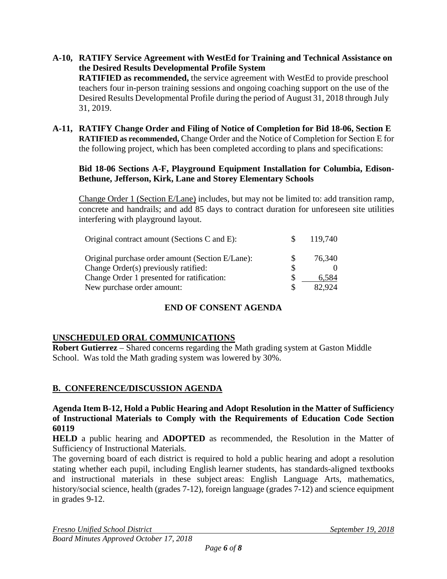- **A-10, RATIFY Service Agreement with WestEd for Training and Technical Assistance on the Desired Results Developmental Profile System RATIFIED as recommended,** the service agreement with WestEd to provide preschool teachers four in-person training sessions and ongoing coaching support on the use of the Desired Results Developmental Profile during the period of August 31, 2018 through July 31, 2019.
- **A-11, RATIFY Change Order and Filing of Notice of Completion for Bid 18-06, Section E RATIFIED as recommended,** Change Order and the Notice of Completion for Section E for the following project, which has been completed according to plans and specifications:

#### **Bid 18-06 Sections A-F, Playground Equipment Installation for Columbia, Edison-Bethune, Jefferson, Kirk, Lane and Storey Elementary Schools**

Change Order 1 (Section E/Lane) includes, but may not be limited to: add transition ramp, concrete and handrails; and add 85 days to contract duration for unforeseen site utilities interfering with playground layout.

| Original contract amount (Sections C and E):     | 119,740 |
|--------------------------------------------------|---------|
| Original purchase order amount (Section E/Lane): | 76,340  |
| Change Order(s) previously ratified:             |         |
| Change Order 1 presented for ratification:       | 6.584   |
| New purchase order amount:                       | 82.924  |

## **END OF CONSENT AGENDA**

#### **UNSCHEDULED ORAL COMMUNICATIONS**

**Robert Gutierrez** – Shared concerns regarding the Math grading system at Gaston Middle School. Was told the Math grading system was lowered by 30%.

#### **B. CONFERENCE/DISCUSSION AGENDA**

#### **Agenda Item B-12, Hold a Public Hearing and Adopt Resolution in the Matter of Sufficiency of Instructional Materials to Comply with the Requirements of Education Code Section 60119**

**HELD** a public hearing and **ADOPTED** as recommended, the Resolution in the Matter of Sufficiency of Instructional Materials.

The governing board of each district is required to hold a public hearing and adopt a resolution stating whether each pupil, including English learner students, has standards-aligned textbooks and instructional materials in these subject areas: English Language Arts, mathematics, history/social science, health (grades 7-12), foreign language (grades 7-12) and science equipment in grades 9-12.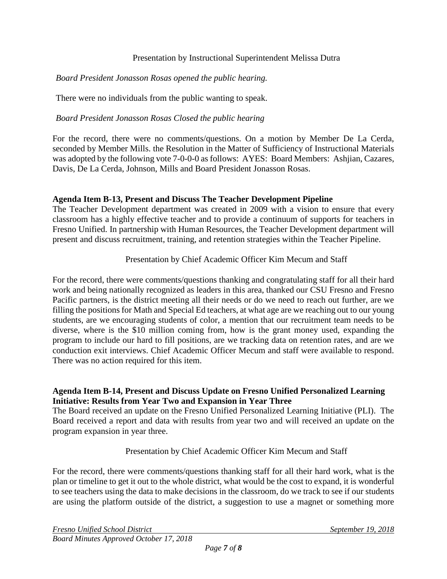#### Presentation by Instructional Superintendent Melissa Dutra

#### *Board President Jonasson Rosas opened the public hearing.*

There were no individuals from the public wanting to speak.

#### *Board President Jonasson Rosas Closed the public hearing*

For the record, there were no comments/questions. On a motion by Member De La Cerda, seconded by Member Mills. the Resolution in the Matter of Sufficiency of Instructional Materials was adopted by the following vote 7-0-0-0 as follows: AYES: Board Members: Ashjian, Cazares, Davis, De La Cerda, Johnson, Mills and Board President Jonasson Rosas.

#### **Agenda Item B-13, Present and Discuss The Teacher Development Pipeline**

The Teacher Development department was created in 2009 with a vision to ensure that every classroom has a highly effective teacher and to provide a continuum of supports for teachers in Fresno Unified. In partnership with Human Resources, the Teacher Development department will present and discuss recruitment, training, and retention strategies within the Teacher Pipeline.

#### Presentation by Chief Academic Officer Kim Mecum and Staff

For the record, there were comments/questions thanking and congratulating staff for all their hard work and being nationally recognized as leaders in this area, thanked our CSU Fresno and Fresno Pacific partners, is the district meeting all their needs or do we need to reach out further, are we filling the positions for Math and Special Ed teachers, at what age are we reaching out to our young students, are we encouraging students of color, a mention that our recruitment team needs to be diverse, where is the \$10 million coming from, how is the grant money used, expanding the program to include our hard to fill positions, are we tracking data on retention rates, and are we conduction exit interviews. Chief Academic Officer Mecum and staff were available to respond. There was no action required for this item.

#### **Agenda Item B-14, Present and Discuss Update on Fresno Unified Personalized Learning Initiative: Results from Year Two and Expansion in Year Three**

The Board received an update on the Fresno Unified Personalized Learning Initiative (PLI). The Board received a report and data with results from year two and will received an update on the program expansion in year three.

#### Presentation by Chief Academic Officer Kim Mecum and Staff

For the record, there were comments/questions thanking staff for all their hard work, what is the plan or timeline to get it out to the whole district, what would be the cost to expand, it is wonderful to see teachers using the data to make decisions in the classroom, do we track to see if our students are using the platform outside of the district, a suggestion to use a magnet or something more